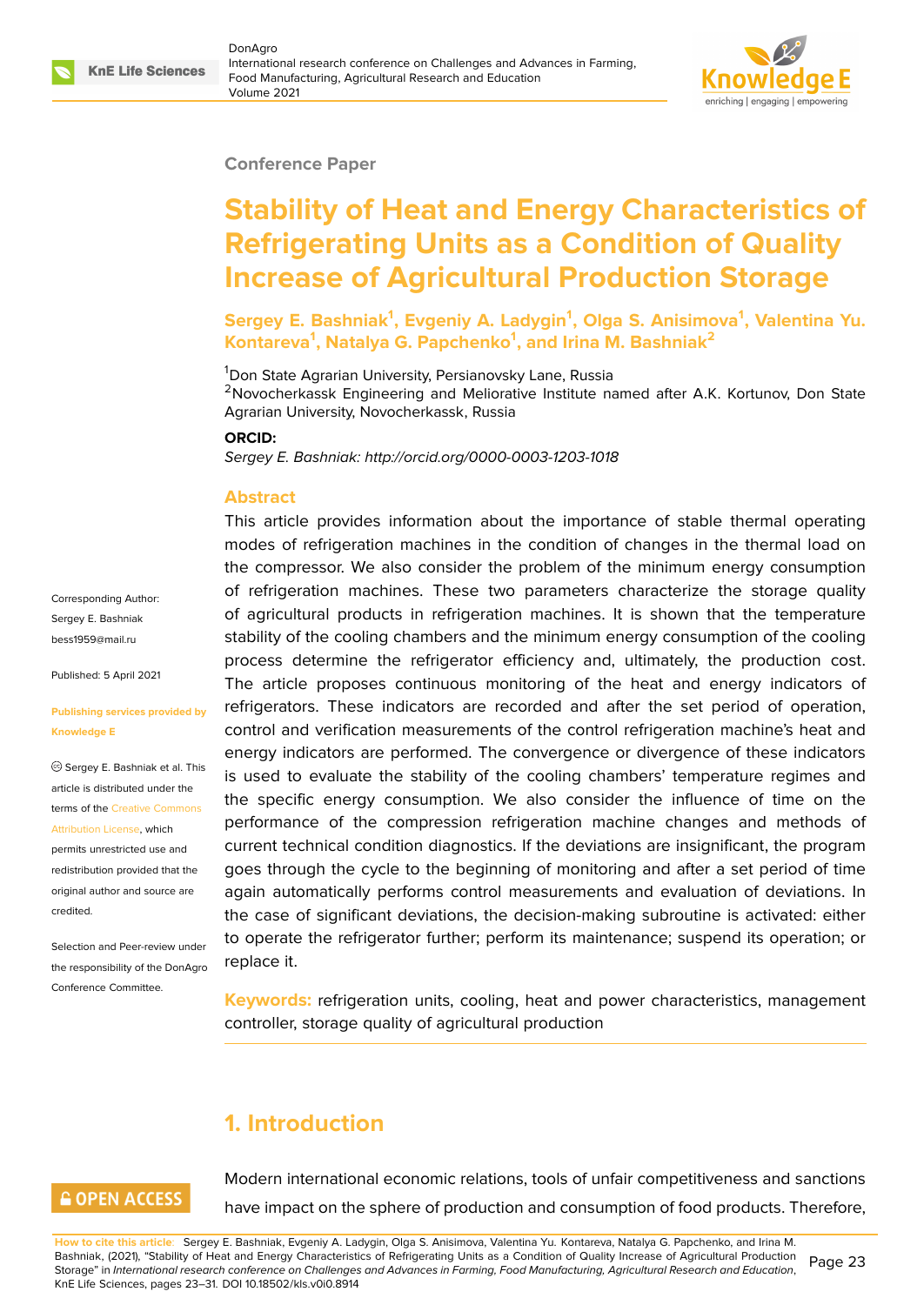#### **Conference Paper**

# **Stability of Heat and Energy Characteristics of Refrigerating Units as a Condition of Quality Increase of Agricultural Production Storage**

**Sergey E. Bashniak<sup>1</sup> , Evgeniy A. Ladygin<sup>1</sup> , Olga S. Anisimova<sup>1</sup> , Valentina Yu. Kontareva<sup>1</sup> , Natalya G. Papchenko<sup>1</sup> , and Irina M. Bashniak<sup>2</sup>**

<sup>1</sup>Don State Agrarian University, Persianovsky Lane, Russia

<sup>2</sup>Novocherkassk Engineering and Meliorative Institute named after A.K. Kortunov, Don State Agrarian University, Novocherkassk, Russia

#### **ORCID:**

*Sergey E. Bashniak: http://orcid.org/0000-0003-1203-1018*

### **Abstract**

This article provides information about the importance of stable thermal operating modes of refrigeration machines in the condition of changes in the thermal load on the compressor. We also consider the problem of the minimum energy consumption of refrigeration machines. These two parameters characterize the storage quality of agricultural products in refrigeration machines. It is shown that the temperature stability of the cooling chambers and the minimum energy consumption of the cooling process determine the refrigerator efficiency and, ultimately, the production cost. The article proposes continuous monitoring of the heat and energy indicators of refrigerators. These indicators are recorded and after the set period of operation, control and verification measurements of the control refrigeration machine's heat and energy indicators are performed. The convergence or divergence of these indicators is used to evaluate the stability of the cooling chambers' temperature regimes and the specific energy consumption. We also consider the influence of time on the performance of the compression refrigeration machine changes and methods of current technical condition diagnostics. If the deviations are insignificant, the program goes through the cycle to the beginning of monitoring and after a set period of time again automatically performs control measurements and evaluation of deviations. In the case of significant deviations, the decision-making subroutine is activated: either to operate the refrigerator further; perform its maintenance; suspend its operation; or replace it.

**Keywords:** refrigeration units, cooling, heat and power characteristics, management controller, storage quality of agricultural production

# **1. Introduction**

# **GOPEN ACCESS**

Corresponding Author: Sergey E. Bashniak bess1959@mail.ru

Published: 5 April 2021

**Knowledge E**

[credited.](https://creativecommons.org/licenses/by/4.0/)

**[Publishing service](mailto:bess1959@mail.ru)s provided by**

Sergey E. Bashniak et al. This article is distributed under the terms of the Creative Commons Attribution License, which permits unrestricted use and redistribution provided that the original auth[or and source are](https://creativecommons.org/licenses/by/4.0/)

Selection and Peer-review under the responsibility of the DonAgro Conference Committee.

> Modern international economic relations, tools of unfair competitiveness and sanctions have impact on the sphere of production and consumption of food products. Therefore,

**How to cite this article**: Sergey E. Bashniak, Evgeniy A. Ladygin, Olga S. Anisimova, Valentina Yu. Kontareva, Natalya G. Papchenko, and Irina M. Bashniak, (2021), "Stability of Heat and Energy Characteristics of Refrigerating Units as a Condition of Quality Increase of Agricultural Production Storage" in *International research conference on Challenges and Advances in Farming, Food Manufacturing, Agricultural Research and Education*, KnE Life Sciences, pages 23–31. DOI 10.18502/kls.v0i0.8914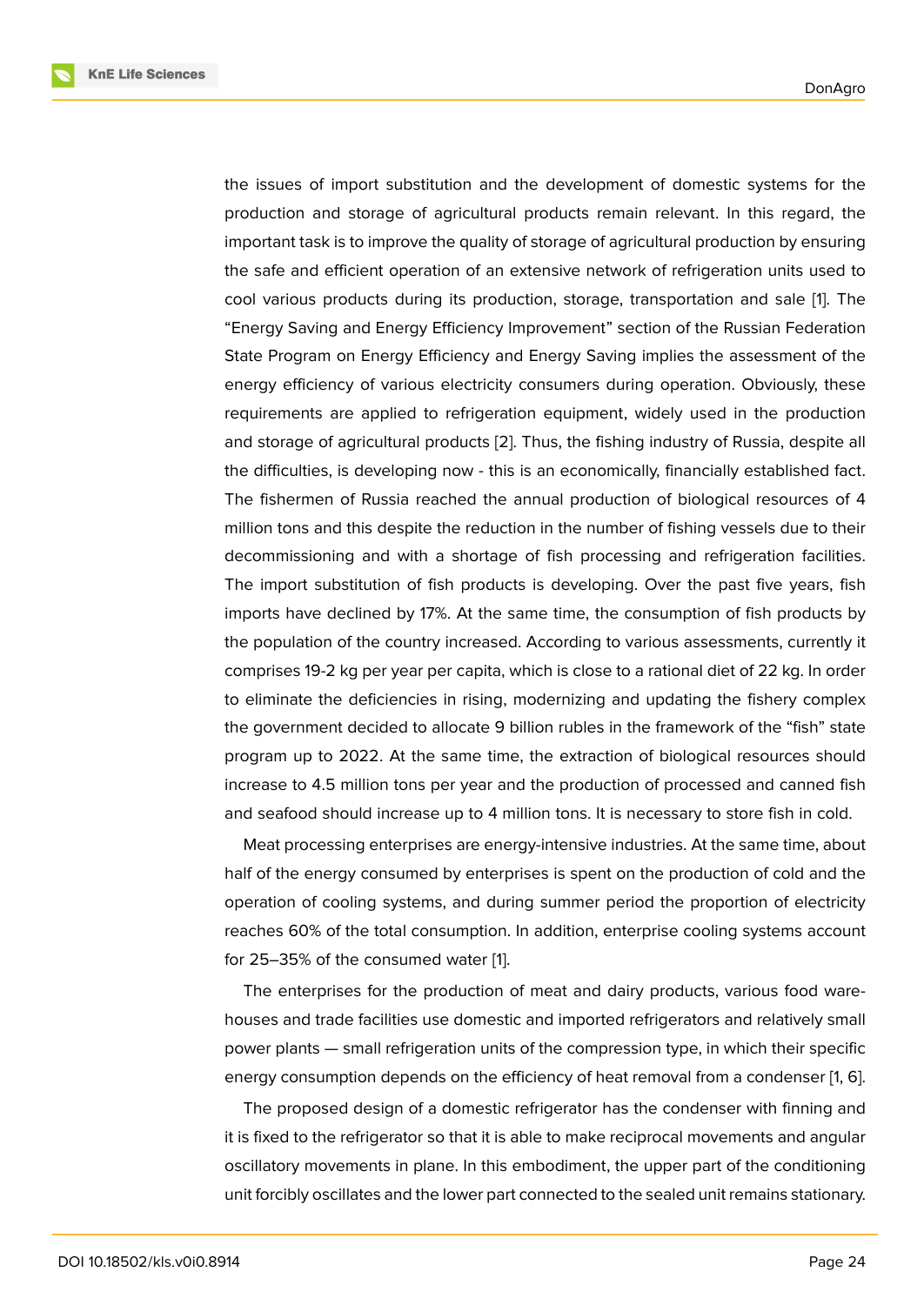the issues of import substitution and the development of domestic systems for the production and storage of agricultural products remain relevant. In this regard, the important task is to improve the quality of storage of agricultural production by ensuring the safe and efficient operation of an extensive network of refrigeration units used to cool various products during its production, storage, transportation and sale [1]. The "Energy Saving and Energy Efficiency Improvement" section of the Russian Federation State Program on Energy Efficiency and Energy Saving implies the assessment of the energy efficiency of various electricity consumers during operation. Obviously[,](#page-7-0) these requirements are applied to refrigeration equipment, widely used in the production and storage of agricultural products [2]. Thus, the fishing industry of Russia, despite all the difficulties, is developing now - this is an economically, financially established fact. The fishermen of Russia reached the annual production of biological resources of 4 million tons and this despite the red[uct](#page-7-1)ion in the number of fishing vessels due to their decommissioning and with a shortage of fish processing and refrigeration facilities. The import substitution of fish products is developing. Over the past five years, fish imports have declined by 17%. At the same time, the consumption of fish products by the population of the country increased. According to various assessments, currently it comprises 19-2 kg per year per capita, which is close to a rational diet of 22 kg. In order to eliminate the deficiencies in rising, modernizing and updating the fishery complex the government decided to allocate 9 billion rubles in the framework of the "fish" state program up to 2022. At the same time, the extraction of biological resources should increase to 4.5 million tons per year and the production of processed and canned fish and seafood should increase up to 4 million tons. It is necessary to store fish in cold.

Meat processing enterprises are energy-intensive industries. At the same time, about half of the energy consumed by enterprises is spent on the production of cold and the operation of cooling systems, and during summer period the proportion of electricity reaches 60% of the total consumption. In addition, enterprise cooling systems account for 25–35% of the consumed water [1].

The enterprises for the production of meat and dairy products, various food warehouses and trade facilities use domestic and imported refrigerators and relatively small power plants — small refrigeration u[ni](#page-7-0)ts of the compression type, in which their specific energy consumption depends on the efficiency of heat removal from a condenser [1, 6].

The proposed design of a domestic refrigerator has the condenser with finning and it is fixed to the refrigerator so that it is able to make reciprocal movements and angular oscillatory movements in plane. In this embodiment, the upper part of the conditio[n](#page-7-0)i[ng](#page-7-2) unit forcibly oscillates and the lower part connected to the sealed unit remains stationary.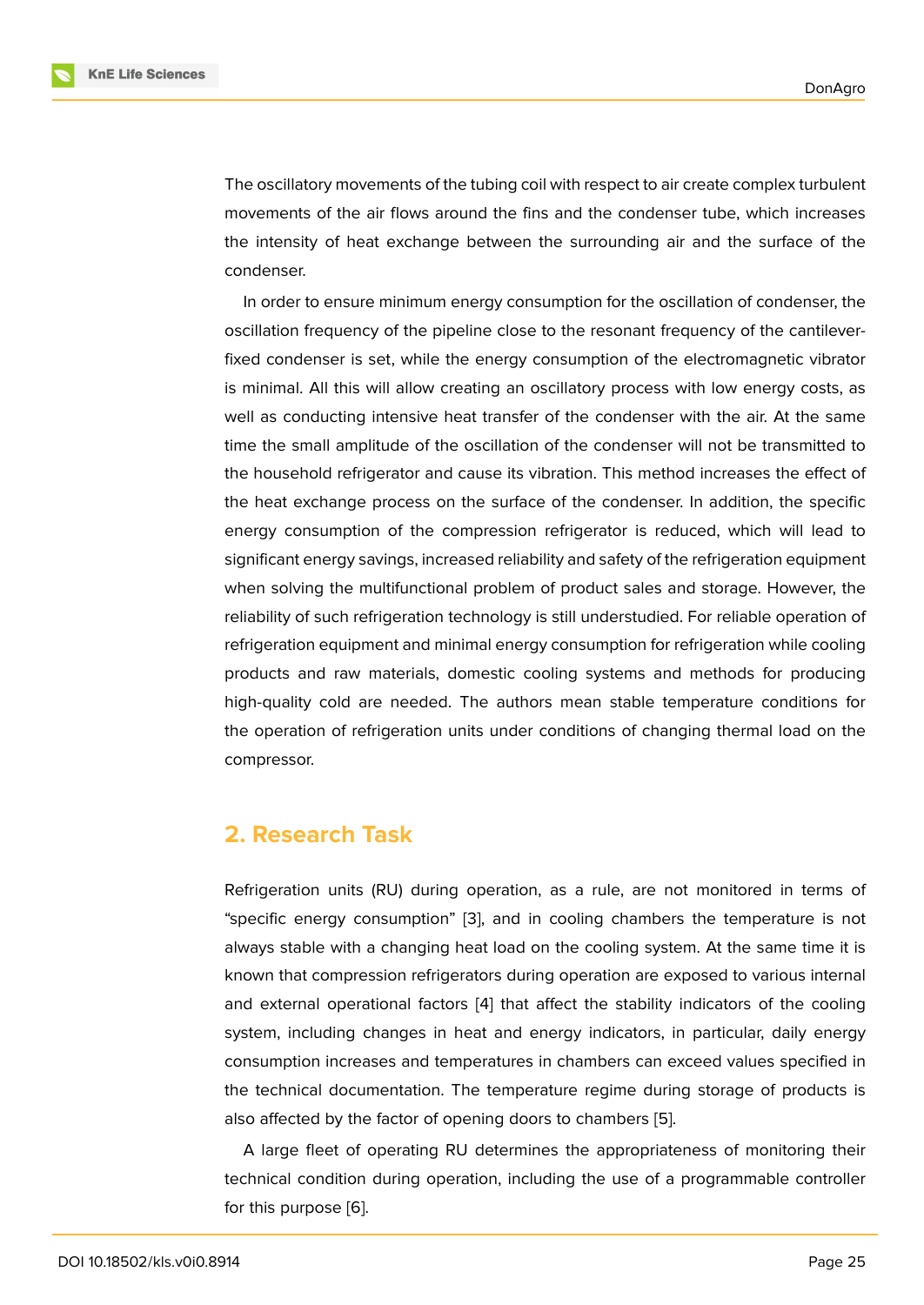The oscillatory movements of the tubing coil with respect to air create complex turbulent movements of the air flows around the fins and the condenser tube, which increases the intensity of heat exchange between the surrounding air and the surface of the condenser.

In order to ensure minimum energy consumption for the oscillation of condenser, the oscillation frequency of the pipeline close to the resonant frequency of the cantileverfixed condenser is set, while the energy consumption of the electromagnetic vibrator is minimal. All this will allow creating an oscillatory process with low energy costs, as well as conducting intensive heat transfer of the condenser with the air. At the same time the small amplitude of the oscillation of the condenser will not be transmitted to the household refrigerator and cause its vibration. This method increases the effect of the heat exchange process on the surface of the condenser. In addition, the specific energy consumption of the compression refrigerator is reduced, which will lead to significant energy savings, increased reliability and safety of the refrigeration equipment when solving the multifunctional problem of product sales and storage. However, the reliability of such refrigeration technology is still understudied. For reliable operation of refrigeration equipment and minimal energy consumption for refrigeration while cooling products and raw materials, domestic cooling systems and methods for producing high-quality cold are needed. The authors mean stable temperature conditions for the operation of refrigeration units under conditions of changing thermal load on the compressor.

### **2. Research Task**

Refrigeration units (RU) during operation, as a rule, are not monitored in terms of "specific energy consumption" [3], and in cooling chambers the temperature is not always stable with a changing heat load on the cooling system. At the same time it is known that compression refrigerators during operation are exposed to various internal and external operational factor[s \[](#page-7-3)4] that affect the stability indicators of the cooling system, including changes in heat and energy indicators, in particular, daily energy consumption increases and temperatures in chambers can exceed values specified in the technical documentation. Th[e t](#page-7-4)emperature regime during storage of products is also affected by the factor of opening doors to chambers [5].

A large fleet of operating RU determines the appropriateness of monitoring their technical condition during operation, including the use of a programmable controller for this purpose [6].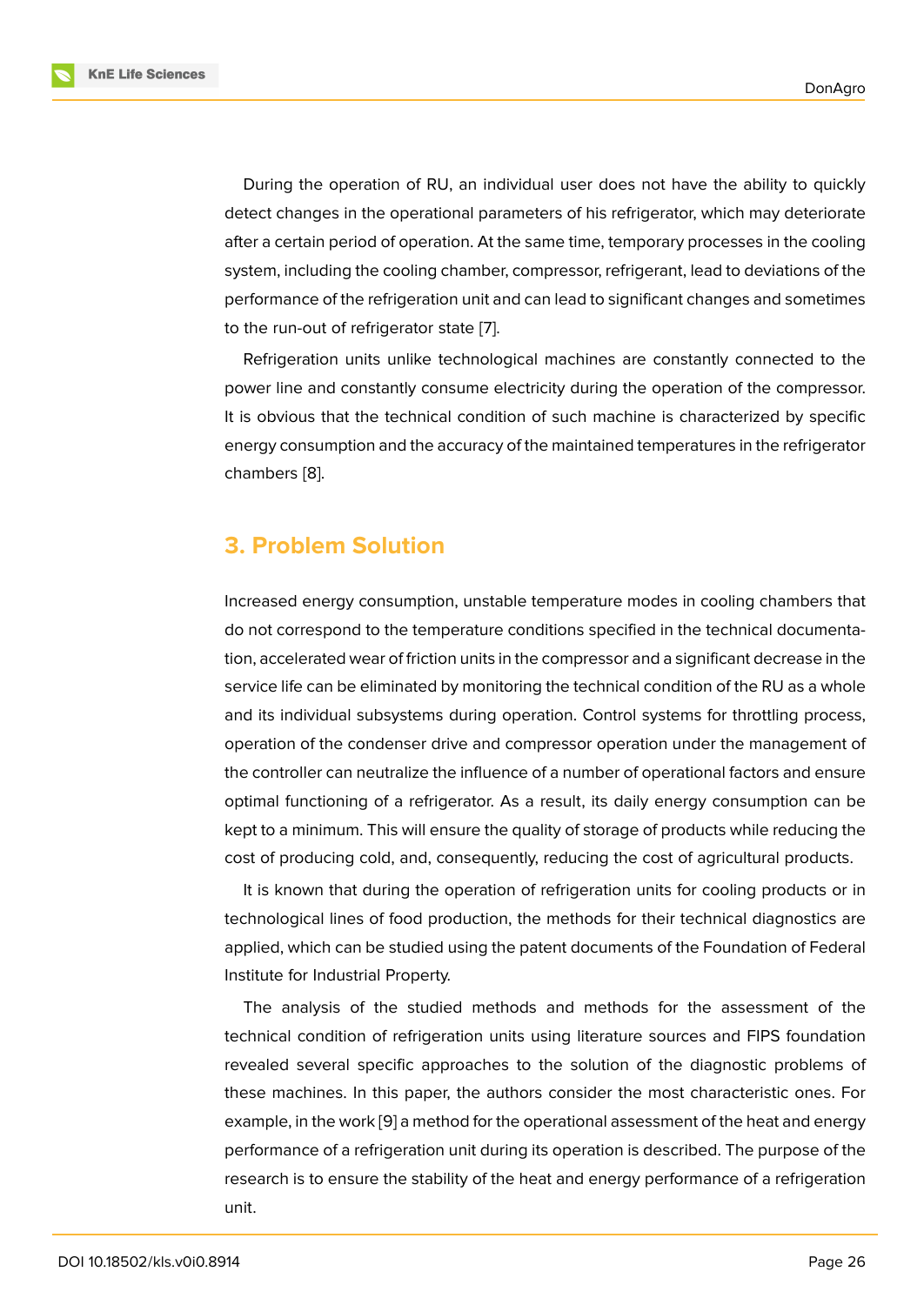During the operation of RU, an individual user does not have the ability to quickly detect changes in the operational parameters of his refrigerator, which may deteriorate after a certain period of operation. At the same time, temporary processes in the cooling system, including the cooling chamber, compressor, refrigerant, lead to deviations of the performance of the refrigeration unit and can lead to significant changes and sometimes to the run-out of refrigerator state [7].

Refrigeration units unlike technological machines are constantly connected to the power line and constantly consume electricity during the operation of the compressor. It is obvious that the technical co[nd](#page-7-5)ition of such machine is characterized by specific energy consumption and the accuracy of the maintained temperatures in the refrigerator chambers [8].

# **3. Prob[le](#page-7-6)m Solution**

Increased energy consumption, unstable temperature modes in cooling chambers that do not correspond to the temperature conditions specified in the technical documentation, accelerated wear of friction units in the compressor and a significant decrease in the service life can be eliminated by monitoring the technical condition of the RU as a whole and its individual subsystems during operation. Control systems for throttling process, operation of the condenser drive and compressor operation under the management of the controller can neutralize the influence of a number of operational factors and ensure optimal functioning of a refrigerator. As a result, its daily energy consumption can be kept to a minimum. This will ensure the quality of storage of products while reducing the cost of producing cold, and, consequently, reducing the cost of agricultural products.

It is known that during the operation of refrigeration units for cooling products or in technological lines of food production, the methods for their technical diagnostics are applied, which can be studied using the patent documents of the Foundation of Federal Institute for Industrial Property.

The analysis of the studied methods and methods for the assessment of the technical condition of refrigeration units using literature sources and FIPS foundation revealed several specific approaches to the solution of the diagnostic problems of these machines. In this paper, the authors consider the most characteristic ones. For example, in the work [9] a method for the operational assessment of the heat and energy performance of a refrigeration unit during its operation is described. The purpose of the research is to ensure the stability of the heat and energy performance of a refrigeration unit.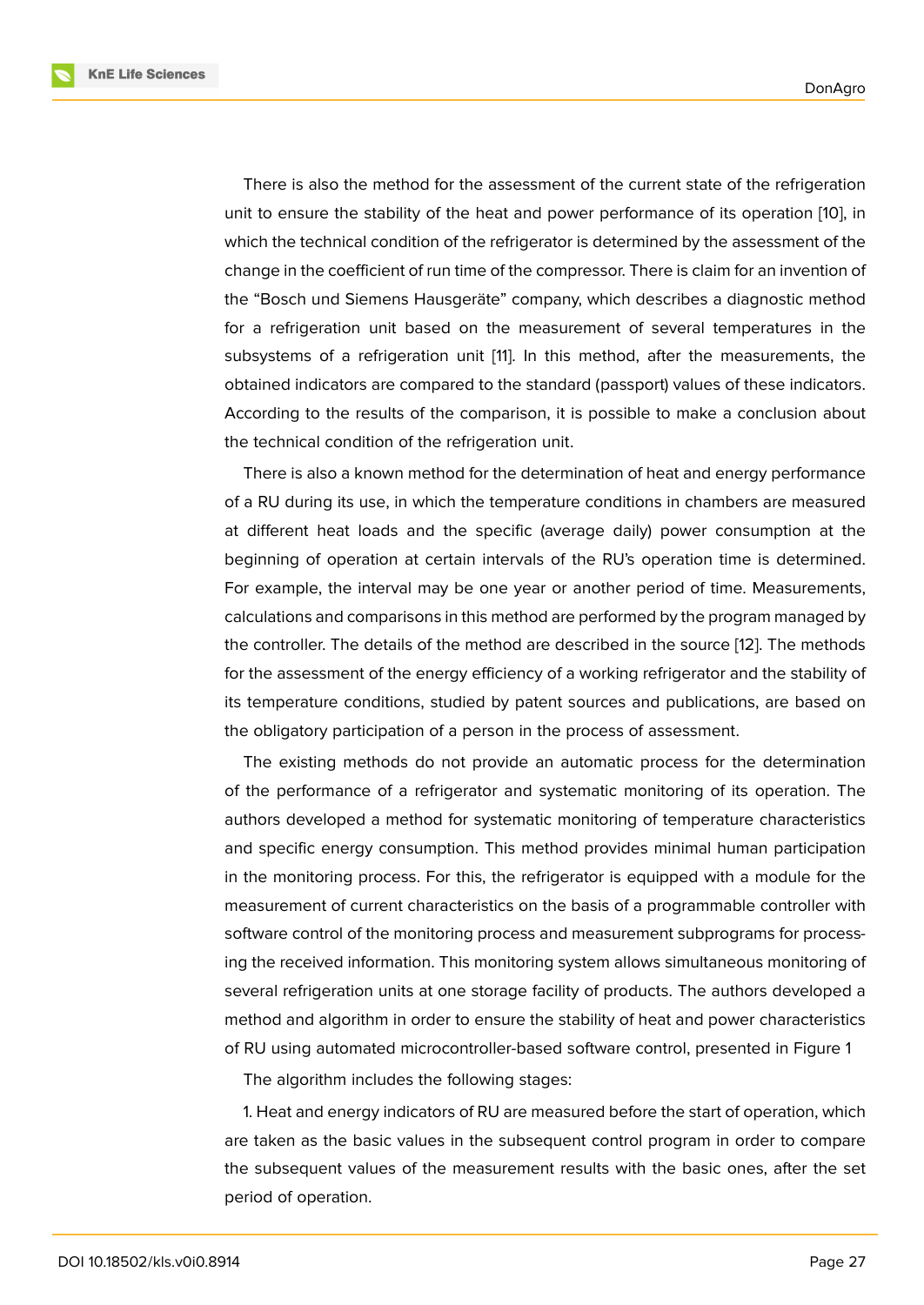There is also the method for the assessment of the current state of the refrigeration unit to ensure the stability of the heat and power performance of its operation [10], in which the technical condition of the refrigerator is determined by the assessment of the change in the coefficient of run time of the compressor. There is claim for an invention of the "Bosch und Siemens Hausgeräte" company, which describes a diagnostic m[eth](#page-8-0)od for a refrigeration unit based on the measurement of several temperatures in the subsystems of a refrigeration unit [11]. In this method, after the measurements, the obtained indicators are compared to the standard (passport) values of these indicators. According to the results of the comparison, it is possible to make a conclusion about the technical condition of the refrige[ra](#page-8-1)tion unit.

There is also a known method for the determination of heat and energy performance of a RU during its use, in which the temperature conditions in chambers are measured at different heat loads and the specific (average daily) power consumption at the beginning of operation at certain intervals of the RU's operation time is determined. For example, the interval may be one year or another period of time. Measurements, calculations and comparisons in this method are performed by the program managed by the controller. The details of the method are described in the source [12]. The methods for the assessment of the energy efficiency of a working refrigerator and the stability of its temperature conditions, studied by patent sources and publications, are based on the obligatory participation of a person in the process of assessment[.](#page-8-2)

The existing methods do not provide an automatic process for the determination of the performance of a refrigerator and systematic monitoring of its operation. The authors developed a method for systematic monitoring of temperature characteristics and specific energy consumption. This method provides minimal human participation in the monitoring process. For this, the refrigerator is equipped with a module for the measurement of current characteristics on the basis of a programmable controller with software control of the monitoring process and measurement subprograms for processing the received information. This monitoring system allows simultaneous monitoring of several refrigeration units at one storage facility of products. The authors developed a method and algorithm in order to ensure the stability of heat and power characteristics of RU using automated microcontroller-based software control, presented in Figure 1

The algorithm includes the following stages:

1. Heat and energy indicators of RU are measured before the start of operation, which are taken as the basic values in the subsequent control program in order to comp[ar](#page-6-0)e the subsequent values of the measurement results with the basic ones, after the set period of operation.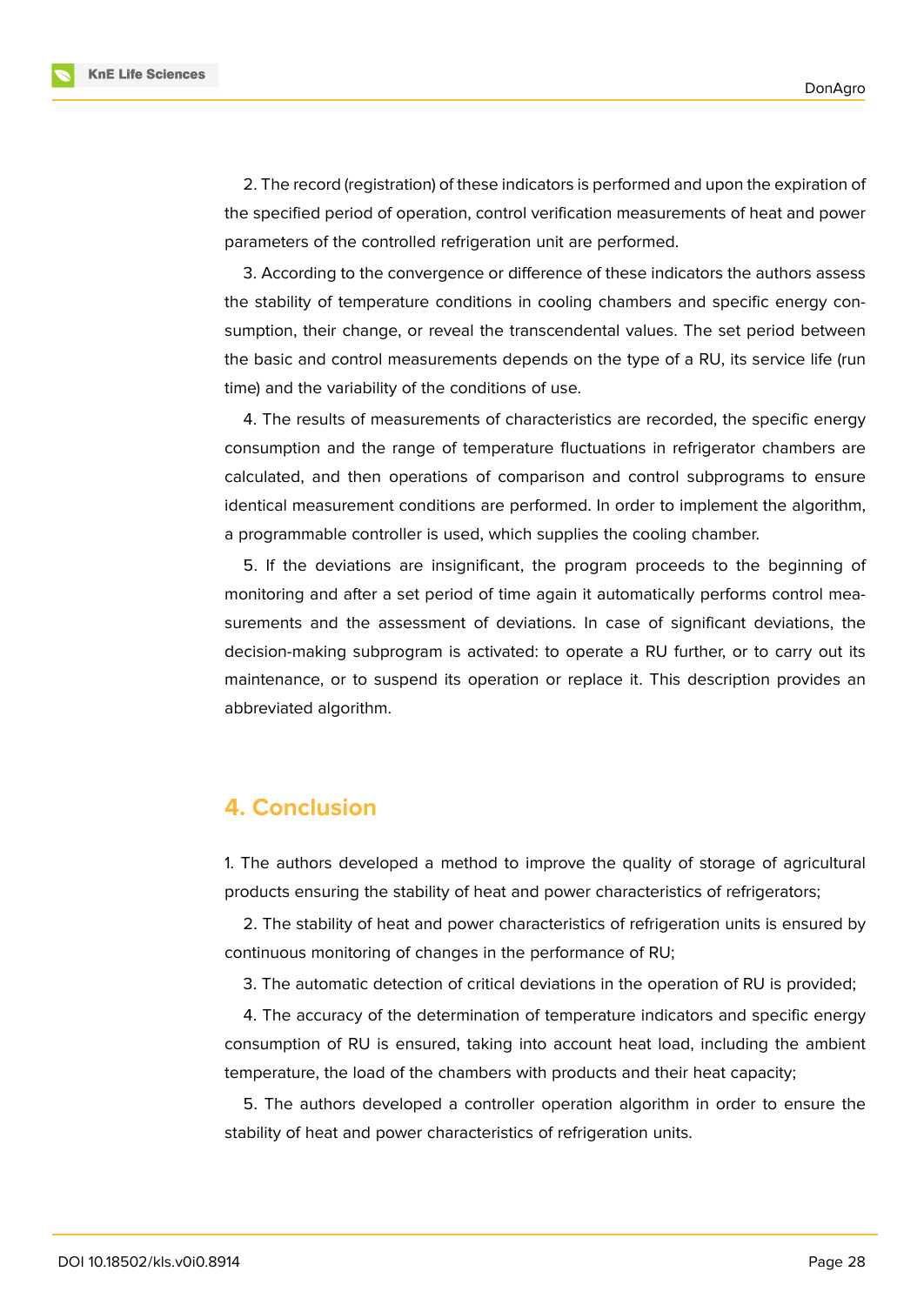**KnE Life Sciences** 



3. According to the convergence or difference of these indicators the authors assess the stability of temperature conditions in cooling chambers and specific energy consumption, their change, or reveal the transcendental values. The set period between the basic and control measurements depends on the type of a RU, its service life (run time) and the variability of the conditions of use.

4. The results of measurements of characteristics are recorded, the specific energy consumption and the range of temperature fluctuations in refrigerator chambers are calculated, and then operations of comparison and control subprograms to ensure identical measurement conditions are performed. In order to implement the algorithm, a programmable controller is used, which supplies the cooling chamber.

5. If the deviations are insignificant, the program proceeds to the beginning of monitoring and after a set period of time again it automatically performs control measurements and the assessment of deviations. In case of significant deviations, the decision-making subprogram is activated: to operate a RU further, or to carry out its maintenance, or to suspend its operation or replace it. This description provides an abbreviated algorithm.

## **4. Conclusion**

1. The authors developed a method to improve the quality of storage of agricultural products ensuring the stability of heat and power characteristics of refrigerators;

2. The stability of heat and power characteristics of refrigeration units is ensured by continuous monitoring of changes in the performance of RU;

3. The automatic detection of critical deviations in the operation of RU is provided;

4. The accuracy of the determination of temperature indicators and specific energy consumption of RU is ensured, taking into account heat load, including the ambient temperature, the load of the chambers with products and their heat capacity;

5. The authors developed a controller operation algorithm in order to ensure the stability of heat and power characteristics of refrigeration units.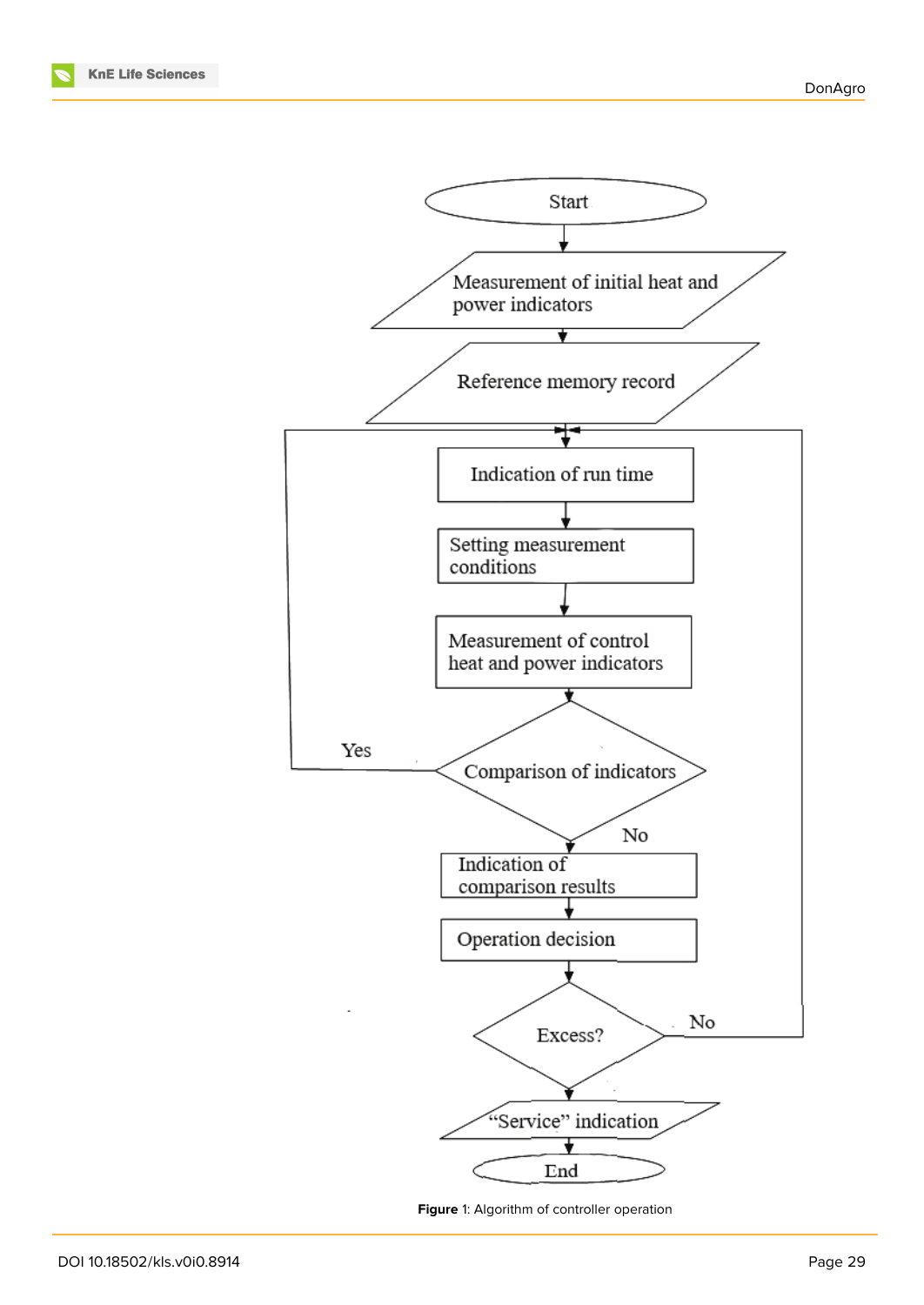

<span id="page-6-0"></span>**Figure** 1: Algorithm of controller operation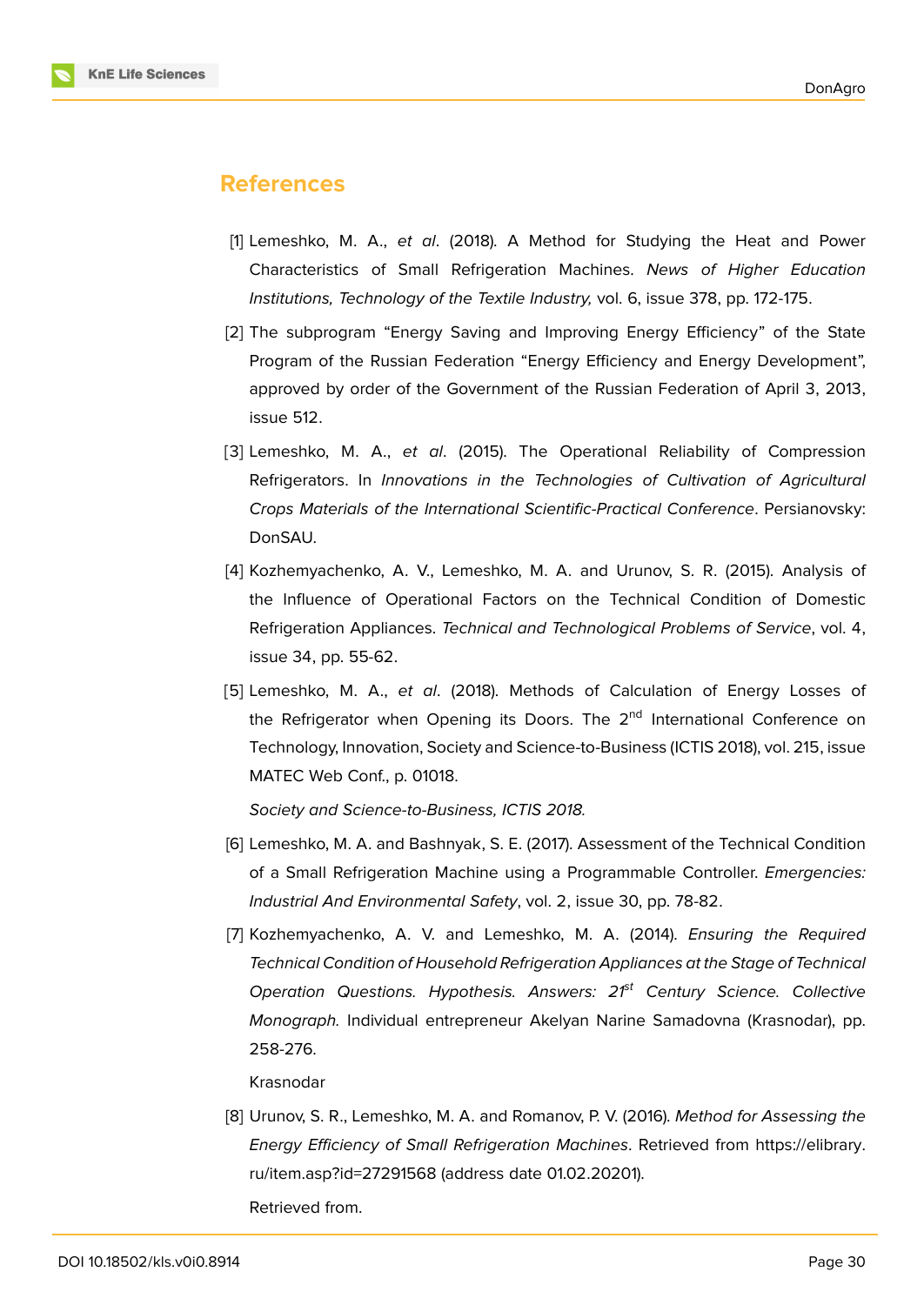### **References**

- [1] Lemeshko, M. A., *et al*. (2018). A Method for Studying the Heat and Power Characteristics of Small Refrigeration Machines. *News of Higher Education Institutions, Technology of the Textile Industry,* vol. 6, issue 378, pp. 172-175.
- <span id="page-7-0"></span>[2] The subprogram "Energy Saving and Improving Energy Efficiency" of the State Program of the Russian Federation "Energy Efficiency and Energy Development", approved by order of the Government of the Russian Federation of April 3, 2013, issue 512.
- <span id="page-7-1"></span>[3] Lemeshko, M. A., *et al*. (2015). The Operational Reliability of Compression Refrigerators. In *Innovations in the Technologies of Cultivation of Agricultural Crops Materials of the International Scientific-Practical Conference*. Persianovsky: DonSAU.
- <span id="page-7-3"></span>[4] Kozhemyachenko, A. V., Lemeshko, M. A. and Urunov, S. R. (2015). Analysis of the Influence of Operational Factors on the Technical Condition of Domestic Refrigeration Appliances. *Technical and Technological Problems of Service*, vol. 4, issue 34, pp. 55-62.
- <span id="page-7-4"></span>[5] Lemeshko, M. A., *et al*. (2018). Methods of Calculation of Energy Losses of the Refrigerator when Opening its Doors. The 2<sup>nd</sup> International Conference on Technology, Innovation, Society and Science-to-Business (ICTIS 2018), vol. 215, issue MATEC Web Conf., p. 01018.

*Society and Science-to-Business, ICTIS 2018.*

- [6] Lemeshko, M. A. and Bashnyak, S. E. (2017). Assessment of the Technical Condition of a Small Refrigeration Machine using a Programmable Controller. *Emergencies: Industrial And Environmental Safety*, vol. 2, issue 30, pp. 78-82.
- <span id="page-7-5"></span><span id="page-7-2"></span>[7] Kozhemyachenko, A. V. and Lemeshko, M. A. (2014). *Ensuring the Required Technical Condition of Household Refrigeration Appliances at the Stage of Technical Operation Questions. Hypothesis. Answers: 21st Century Science. Collective Monograph.* Individual entrepreneur Akelyan Narine Samadovna (Krasnodar), pp. 258-276.

Krasnodar

[8] Urunov, S. R., Lemeshko, M. A. and Romanov, P. V. (2016). *Method for Assessing the Energy Efficiency of Small Refrigeration Machines*. Retrieved from https://elibrary. ru/item.asp?id=27291568 (address date 01.02.20201).

<span id="page-7-6"></span>Retrieved from.